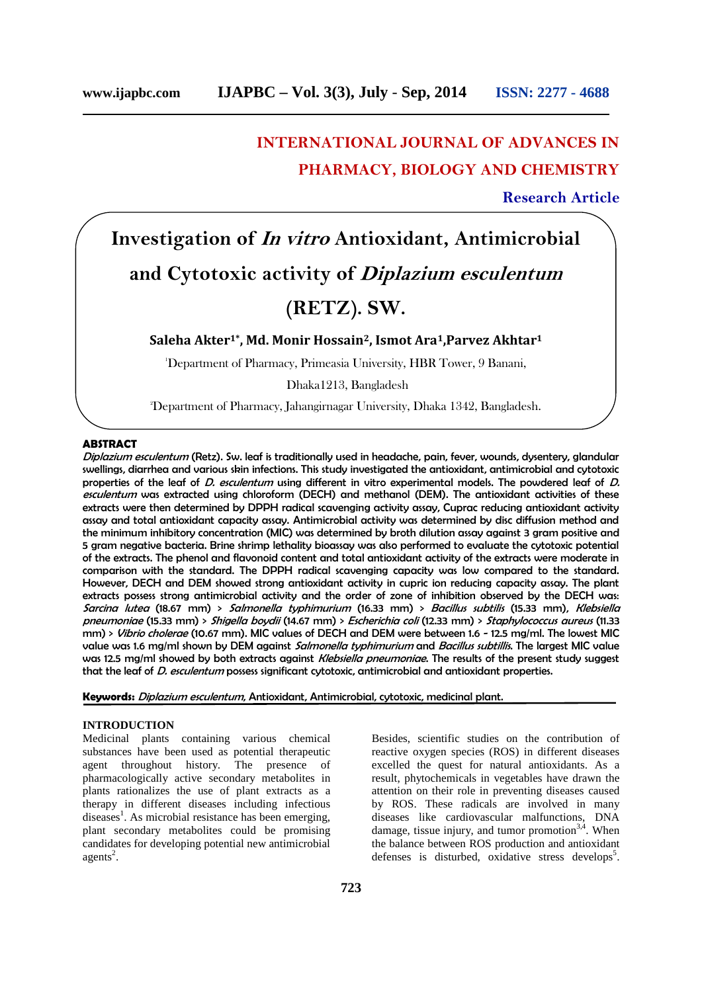# **INTERNATIONAL JOURNAL OF ADVANCES IN PHARMACY, BIOLOGY AND CHEMISTRY**

**Research Article**

# **Investigation of** *In vitro* **Antioxidant, Antimicrobial and Cytotoxic activity of** *Diplazium esculentum* **(RETZ). SW.**

**Saleha Akter1\* , Md. Monir Hossain2, Ismot Ara1,Parvez Akhtar 1**

<sup>1</sup>Department of Pharmacy, Primeasia University, HBR Tower, 9 Banani,

Dhaka1213, Bangladesh

2Department of Pharmacy, Jahangirnagar University, Dhaka 1342, Bangladesh.

# **ABSTRACT**

*Diplazium esculentum* (Retz). Sw. leaf is traditionally used in headache, pain, fever, wounds, dysentery, glandular swellings, diarrhea and various skin infections. This study investigated the antioxidant, antimicrobial and cytotoxic properties of the leaf of *D. esculentum* using different in vitro experimental models. The powdered leaf of *D. esculentum* was extracted using chloroform (DECH) and methanol (DEM). The antioxidant activities of these extracts were then determined by DPPH radical scavenging activity assay, Cuprac reducing antioxidant activity assay and total antioxidant capacity assay. Antimicrobial activity was determined by disc diffusion method and the minimum inhibitory concentration (MIC) was determined by broth dilution assay against 3 gram positive and 5 gram negative bacteria. Brine shrimp lethality bioassay was also performed to evaluate the cytotoxic potential of the extracts. The phenol and flavonoid content and total antioxidant activity of the extracts were moderate in comparison with the standard. The DPPH radical scavenging capacity was low compared to the standard. However, DECH and DEM showed strong antioxidant activity in cupric ion reducing capacity assay. The plant extracts possess strong antimicrobial activity and the order of zone of inhibition observed by the DECH was: *Sarcina lutea* (18.67 mm) > *Salmonella typhimurium* (16.33 mm) > *Bacillus subtilis* (15.33 mm), *Klebsiella pneumoniae* (15.33 mm) > *Shigella boydii* (14.67 mm) > *Escherichia coli* (12.33 mm) > *Staphylococcus aureus* (11.33 mm) > *Vibrio cholerae* (10.67 mm). MIC values of DECH and DEM were between 1.6 - 12.5 mg/ml. The lowest MIC value was 1.6 mg/ml shown by DEM against *Salmonella typhimurium* and *Bacillus subtillis*. The largest MIC value was 12.5 mg/ml showed by both extracts against *Klebsiella pneumoniae*. The results of the present study suggest that the leaf of *D. esculentum* possess significant cytotoxic, antimicrobial and antioxidant properties.

**Keywords:** *Diplazium esculentum*, Antioxidant, Antimicrobial, cytotoxic, medicinal plant.

#### **INTRODUCTION**

Medicinal plants containing various chemical substances have been used as potential therapeutic agent throughout history. The presence of pharmacologically active secondary metabolites in plants rationalizes the use of plant extracts as a therapy in different diseases including infectious diseases<sup>1</sup>. As microbial resistance has been emerging, plant secondary metabolites could be promising candidates for developing potential new antimicrobial  $agents<sup>2</sup>$ .

Besides, scientific studies on the contribution of reactive oxygen species (ROS) in different diseases excelled the quest for natural antioxidants. As a result, phytochemicals in vegetables have drawn the attention on their role in preventing diseases caused by ROS. These radicals are involved in many diseases like cardiovascular malfunctions, DNA damage, tissue injury, and tumor promotion $3,4$ . When the balance between ROS production and antioxidant defenses is disturbed, oxidative stress develops<sup>5</sup>.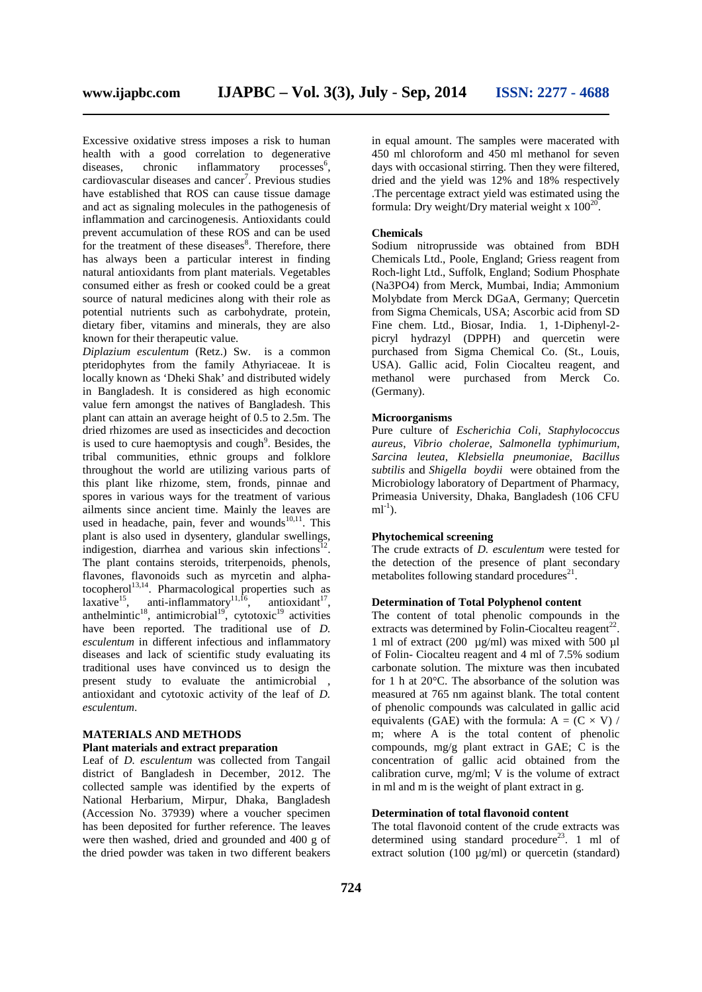Excessive oxidative stress imposes a risk to human health with a good correlation to degenerative<br>diseases. chronic inflammatory processes<sup>6</sup>. inflammatory  $\overline{processes}^6$ . cardiovascular diseases and cancer<sup>7</sup>. Previous studies have established that ROS can cause tissue damage and act as signaling molecules in the pathogenesis of inflammation and carcinogenesis. Antioxidants could prevent accumulation of these ROS and can be used for the treatment of these diseases $\delta$ . Therefore, there has always been a particular interest in finding natural antioxidants from plant materials. Vegetables consumed either as fresh or cooked could be a great source of natural medicines along with their role as potential nutrients such as carbohydrate, protein, dietary fiber, vitamins and minerals, they are also known for their therapeutic value.

*Diplazium esculentum* (Retz.) Sw. is a common pteridophytes from the family Athyriaceae. It is locally known as 'Dheki Shak' and distributed widely in Bangladesh. It is considered as high economic value fern amongst the natives of Bangladesh. This plant can attain an average height of 0.5 to 2.5m. The dried rhizomes are used as insecticides and decoction is used to cure haemoptysis and  $\text{cough}^9$ . Besides, the tribal communities, ethnic groups and folklore throughout the world are utilizing various parts of this plant like rhizome, stem, fronds, pinnae and spores in various ways for the treatment of various ailments since ancient time. Mainly the leaves are used in headache, pain, fever and wounds $^{10,11}$ . This plant is also used in dysentery, glandular swellings, indigestion, diarrhea and various skin infections<sup>12</sup> . The plant contains steroids, triterpenoids, phenols, flavones, flavonoids such as myrcetin and alphatocopherol<sup>13,14</sup>. Pharmacological properties such as laxative<sup>15</sup>, anti-inflammatory<sup>11,16</sup>, antioxidant<sup>17</sup>, anthelmintic<sup>18</sup>, antimicrobial<sup>19</sup>, cytotoxic<sup>19</sup> activities have been reported. The traditional use of *D. esculentum* in different infectious and inflammatory diseases and lack of scientific study evaluating its traditional uses have convinced us to design the present study to evaluate the antimicrobial , antioxidant and cytotoxic activity of the leaf of *D. esculentum*.

# **MATERIALS AND METHODS**

# **Plant materials and extract preparation**

Leaf of *D. esculentum* was collected from Tangail district of Bangladesh in December, 2012. The collected sample was identified by the experts of National Herbarium, Mirpur, Dhaka, Bangladesh (Accession No. 37939) where a voucher specimen has been deposited for further reference. The leaves were then washed, dried and grounded and 400 g of the dried powder was taken in two different beakers

in equal amount. The samples were macerated with 450 ml chloroform and 450 ml methanol for seven days with occasional stirring. Then they were filtered, dried and the yield was 12% and 18% respectively .The percentage extract yield was estimated using the formula: Dry weight/Dry material weight x  $100^{20}$ .

## **Chemicals**

Sodium nitroprusside was obtained from BDH Chemicals Ltd., Poole, England; Griess reagent from Roch-light Ltd., Suffolk, England; Sodium Phosphate (Na3PO4) from Merck, Mumbai, India; Ammonium Molybdate from Merck DGaA, Germany; Quercetin from Sigma Chemicals, USA; Ascorbic acid from SD Fine chem. Ltd., Biosar, India. 1, 1-Diphenyl-2 picryl hydrazyl (DPPH) and quercetin were purchased from Sigma Chemical Co. (St., Louis, USA). Gallic acid, Folin Ciocalteu reagent, and were purchased from Merck Co. (Germany).

# **Microorganisms**

Pure culture of *Escherichia Coli*, *Staphylococcus aureus*, *Vibrio cholerae*, *Salmonella typhimurium*, *Sarcina leutea*, *Klebsiella pneumoniae*, *Bacillus subtilis* and *Shigella boydii* were obtained from the Microbiology laboratory of Department of Pharmacy, Primeasia University, Dhaka, Bangladesh (106 CFU  $ml^{-1}$ ).

# **Phytochemical screening**

The crude extracts of *D. esculentum* were tested for the detection of the presence of plant secondary metabolites following standard procedures $2<sup>1</sup>$ .

# **Determination of Total Polyphenol content**

The content of total phenolic compounds in the extracts was determined by Folin-Ciocalteu reagent<sup>22</sup>. 1 ml of extract (200  $\mu$ g/ml) was mixed with 500  $\mu$ l of Folin- Ciocalteu reagent and 4 ml of 7.5% sodium carbonate solution. The mixture was then incubated for 1 h at 20°C. The absorbance of the solution was measured at 765 nm against blank. The total content of phenolic compounds was calculated in gallic acid equivalents (GAE) with the formula:  $A = (C \times V) /$ m; where A is the total content of phenolic compounds, mg/g plant extract in GAE; C is the concentration of gallic acid obtained from the calibration curve, mg/ml; V is the volume of extract in ml and m is the weight of plant extract in g.

### **Determination of total flavonoid content**

The total flavonoid content of the crude extracts was determined using standard procedure<sup>23</sup>. 1 ml of extract solution (100  $\mu$ g/ml) or quercetin (standard)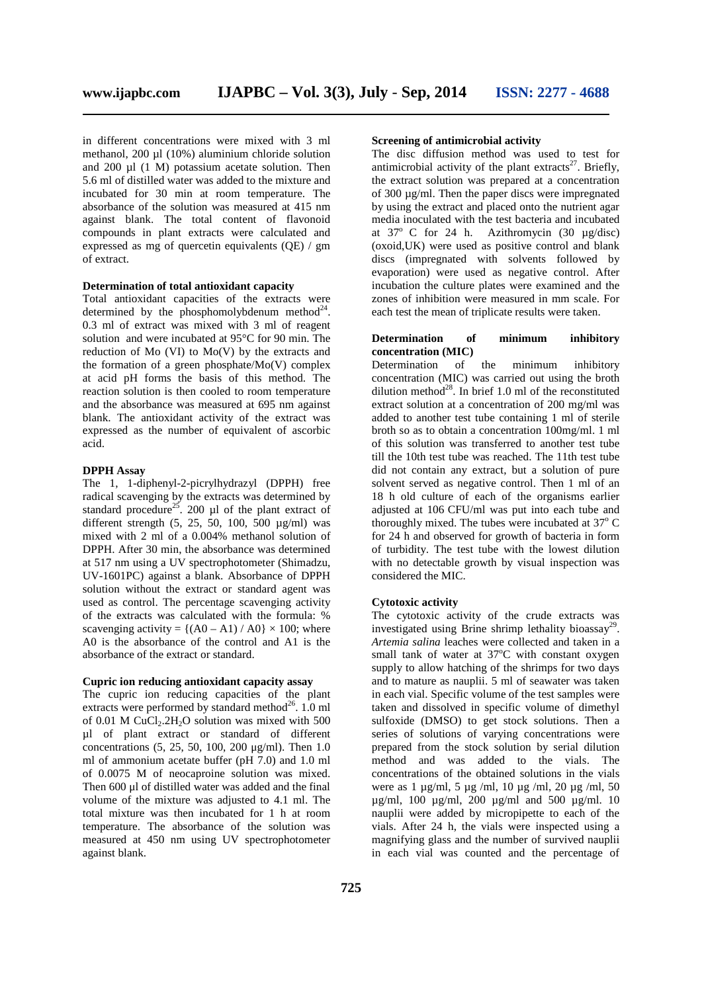in different concentrations were mixed with 3 ml methanol, 200 ul (10%) aluminium chloride solution and 200  $\mu$ l (1 M) potassium acetate solution. Then 5.6 ml of distilled water was added to the mixture and incubated for 30 min at room temperature. The absorbance of the solution was measured at 415 nm against blank. The total content of flavonoid compounds in plant extracts were calculated and at 37° C for 24 h. expressed as mg of quercetin equivalents (QE) / gm of extract.

# **Determination of total antioxidant capacity**

Total antioxidant capacities of the extracts were determined by the phosphomolybdenum method $^{24}$ . 0.3 ml of extract was mixed with 3 ml of reagent solution and were incubated at 95°C for 90 min. The reduction of Mo (VI) to Mo(V) by the extracts and the formation of a green phosphate/Mo(V) complex at acid pH forms the basis of this method. The reaction solution is then cooled to room temperature and the absorbance was measured at 695 nm against blank. The antioxidant activity of the extract was expressed as the number of equivalent of ascorbic acid.

# **DPPH Assay**

The 1, 1-diphenyl-2-picrylhydrazyl (DPPH) free radical scavenging by the extracts was determined by standard procedure<sup>25</sup>. 200 µl of the plant extract of different strength (5, 25, 50, 100, 500  $\mu$ g/ml) was mixed with 2 ml of a 0.004% methanol solution of DPPH. After 30 min, the absorbance was determined at 517 nm using a UV spectrophotometer (Shimadzu, UV-1601PC) against a blank. Absorbance of DPPH solution without the extract or standard agent was used as control. The percentage scavenging activity of the extracts was calculated with the formula: % scavenging activity =  $\{(A0 - A1)/A0\} \times 100$ ; where A0 is the absorbance of the control and A1 is the absorbance of the extract or standard.

# **Cupric ion reducing antioxidant capacity assay**

The cupric ion reducing capacities of the plant extracts were performed by standard method<sup>26</sup>. 1.0 ml of  $0.01$  M CuCl<sub>2</sub>.2H<sub>2</sub>O solution was mixed with 500 µl of plant extract or standard of different concentrations (5, 25, 50, 100, 200 μg/ml). Then 1.0 ml of ammonium acetate buffer (pH 7.0) and 1.0 ml of 0.0075 M of neocaproine solution was mixed. Then 600 μl of distilled water was added and the final volume of the mixture was adjusted to 4.1 ml. The total mixture was then incubated for 1 h at room temperature. The absorbance of the solution was measured at 450 nm using UV spectrophotometer against blank.

# **Screening of antimicrobial activity**

The disc diffusion method was used to test for antimicrobial activity of the plant extracts<sup>27</sup>. Briefly, the extract solution was prepared at a concentration of 300 µg/ml. Then the paper discs were impregnated by using the extract and placed onto the nutrient agar media inoculated with the test bacteria and incubated Azithromycin  $(30 \text{ µg/disc})$ (oxoid,UK) were used as positive control and blank discs (impregnated with solvents followed by evaporation) were used as negative control. After incubation the culture plates were examined and the zones of inhibition were measured in mm scale. For each test the mean of triplicate results were taken.

# **Determination of minimum inhibitory concentration (MIC)**

Determination of the minimum inhibitory concentration (MIC) was carried out using the broth dilution method<sup>28</sup>. In brief 1.0 ml of the reconstituted extract solution at a concentration of 200 mg/ml was added to another test tube containing 1 ml of sterile broth so as to obtain a concentration 100mg/ml. 1 ml of this solution was transferred to another test tube till the 10th test tube was reached. The 11th test tube did not contain any extract, but a solution of pure solvent served as negative control. Then 1 ml of an 18 h old culture of each of the organisms earlier adjusted at 106 CFU/ml was put into each tube and thoroughly mixed. The tubes were incubated at  $37^{\circ}$  C for 24 h and observed for growth of bacteria in form of turbidity. The test tube with the lowest dilution with no detectable growth by visual inspection was considered the MIC.

# **Cytotoxic activity**

The cytotoxic activity of the crude extracts was investigated using Brine shrimp lethality bioassay<sup>29</sup>. *Artemia salina* leaches were collected and taken in a small tank of water at  $37^{\circ}$ C with constant oxygen supply to allow hatching of the shrimps for two days and to mature as nauplii. 5 ml of seawater was taken in each vial. Specific volume of the test samples were taken and dissolved in specific volume of dimethyl sulfoxide (DMSO) to get stock solutions. Then a series of solutions of varying concentrations were prepared from the stock solution by serial dilution method and was added to the vials. The concentrations of the obtained solutions in the vials were as 1 µg/ml, 5 µg /ml, 10 µg /ml, 20 µg /ml, 50 µg/ml, 100 µg/ml, 200 µg/ml and 500 µg/ml. 10 nauplii were added by micropipette to each of the vials. After 24 h, the vials were inspected using a magnifying glass and the number of survived nauplii in each vial was counted and the percentage of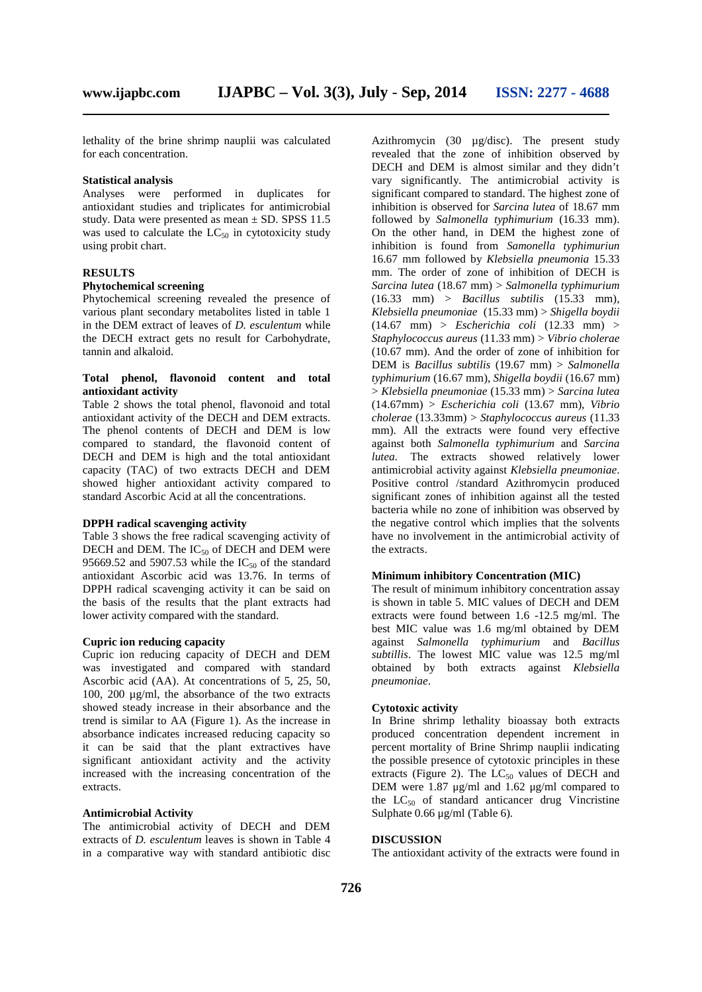lethality of the brine shrimp nauplii was calculated for each concentration.

#### **Statistical analysis**

Analyses were performed in duplicates for antioxidant studies and triplicates for antimicrobial study. Data were presented as mean ± SD. SPSS 11.5 was used to calculate the  $LC_{50}$  in cytotoxicity study using probit chart.

# **RESULTS**

## **Phytochemical screening**

Phytochemical screening revealed the presence of various plant secondary metabolites listed in table 1 in the DEM extract of leaves of *D. esculentum* while the DECH extract gets no result for Carbohydrate, tannin and alkaloid.

# **Total phenol, flavonoid content and total antioxidant activity**

Table 2 shows the total phenol, flavonoid and total antioxidant activity of the DECH and DEM extracts. The phenol contents of DECH and DEM is low compared to standard, the flavonoid content of DECH and DEM is high and the total antioxidant capacity (TAC) of two extracts DECH and DEM showed higher antioxidant activity compared to standard Ascorbic Acid at all the concentrations.

### **DPPH radical scavenging activity**

Table 3 shows the free radical scavenging activity of DECH and DEM. The  $IC_{50}$  of DECH and DEM were 95669.52 and 5907.53 while the  $IC_{50}$  of the standard antioxidant Ascorbic acid was 13.76. In terms of DPPH radical scavenging activity it can be said on the basis of the results that the plant extracts had lower activity compared with the standard.

# **Cupric ion reducing capacity**

Cupric ion reducing capacity of DECH and DEM was investigated and compared with standard Ascorbic acid (AA). At concentrations of 5, 25, 50, 100, 200 µg/ml, the absorbance of the two extracts showed steady increase in their absorbance and the trend is similar to AA (Figure 1). As the increase in absorbance indicates increased reducing capacity so it can be said that the plant extractives have significant antioxidant activity and the activity increased with the increasing concentration of the extracts.

# **Antimicrobial Activity**

The antimicrobial activity of DECH and DEM extracts of *D. esculentum* leaves is shown in Table 4 in a comparative way with standard antibiotic disc Azithromycin (30 µg/disc). The present study revealed that the zone of inhibition observed by DECH and DEM is almost similar and they didn't vary significantly. The antimicrobial activity is significant compared to standard. The highest zone of inhibition is observed for *Sarcina lutea* of 18.67 mm followed by *Salmonella typhimurium* (16.33 mm). On the other hand, in DEM the highest zone of inhibition is found from *Samonella typhimuriun* 16.67 mm followed by *Klebsiella pneumonia* 15.33 mm. The order of zone of inhibition of DECH is *Sarcina lutea* (18.67 mm) > *Salmonella typhimurium* (16.33 mm) > *Bacillus subtilis* (15.33 mm), *Klebsiella pneumoniae* (15.33 mm) > *Shigella boydii* (14.67 mm) > *Escherichia coli* (12.33 mm) > *Staphylococcus aureus* (11.33 mm) > *Vibrio cholerae* (10.67 mm). And the order of zone of inhibition for DEM is *Bacillus subtilis* (19.67 mm) > *Salmonella typhimurium* (16.67 mm), *Shigella boydii* (16.67 mm) > *Klebsiella pneumoniae* (15.33 mm) > *Sarcina lutea* (14.67mm) > *Escherichia coli* (13.67 mm), *Vibrio cholerae* (13.33mm) > *Staphylococcus aureus* (11.33 mm). All the extracts were found very effective against both *Salmonella typhimurium* and *Sarcina lutea*. The extracts showed relatively lower antimicrobial activity against *Klebsiella pneumoniae*. Positive control /standard Azithromycin produced significant zones of inhibition against all the tested bacteria while no zone of inhibition was observed by the negative control which implies that the solvents have no involvement in the antimicrobial activity of the extracts.

# **Minimum inhibitory Concentration (MIC)**

The result of minimum inhibitory concentration assay is shown in table 5. MIC values of DECH and DEM extracts were found between 1.6 -12.5 mg/ml. The best MIC value was 1.6 mg/ml obtained by DEM against *Salmonella typhimurium* and *Bacillus subtillis*. The lowest MIC value was 12.5 mg/ml obtained by both extracts against *Klebsiella pneumoniae*.

# **Cytotoxic activity**

In Brine shrimp lethality bioassay both extracts produced concentration dependent increment in percent mortality of Brine Shrimp nauplii indicating the possible presence of cytotoxic principles in these extracts (Figure 2). The  $LC_{50}$  values of DECH and DEM were 1.87 μg/ml and 1.62 μg/ml compared to the  $LC_{50}$  of standard anticancer drug Vincristine Sulphate 0.66 μg/ml (Table 6).

#### **DISCUSSION**

The antioxidant activity of the extracts were found in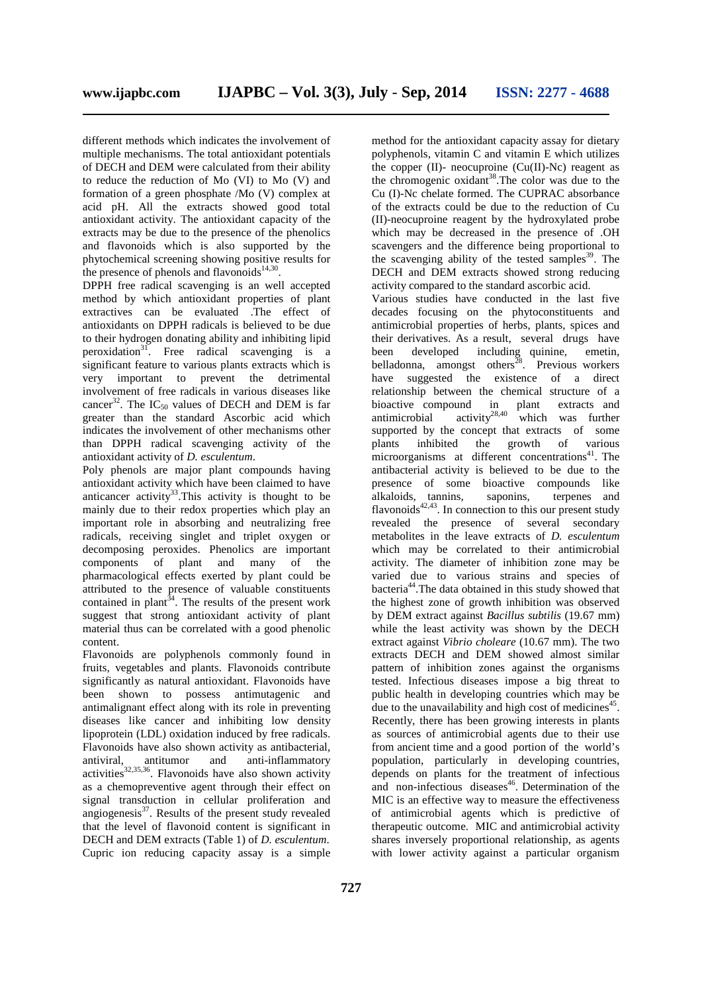different methods which indicates the involvement of multiple mechanisms. The total antioxidant potentials of DECH and DEM were calculated from their ability to reduce the reduction of Mo (VI) to Mo (V) and formation of a green phosphate /Mo (V) complex at acid pH. All the extracts showed good total antioxidant activity. The antioxidant capacity of the extracts may be due to the presence of the phenolics and flavonoids which is also supported by the phytochemical screening showing positive results for the presence of phenols and flavonoids $14,30$ . .

DPPH free radical scavenging is an well accepted method by which antioxidant properties of plant extractives can be evaluated .The effect of antioxidants on DPPH radicals is believed to be due to their hydrogen donating ability and inhibiting lipid peroxidation<sup>31</sup>. Free radical scavenging is a significant feature to various plants extracts which is very important to prevent the detrimental involvement of free radicals in various diseases like cancer<sup>32</sup>. The  $IC_{50}$  values of DECH and DEM is far greater than the standard Ascorbic acid which indicates the involvement of other mechanisms other than DPPH radical scavenging activity of the antioxidant activity of *D. esculentum*.

Poly phenols are major plant compounds having antioxidant activity which have been claimed to have anticancer activity<sup>33</sup>. This activity is thought to be mainly due to their redox properties which play an important role in absorbing and neutralizing free radicals, receiving singlet and triplet oxygen or decomposing peroxides. Phenolics are important components of plant and many of the components of plant and many pharmacological effects exerted by plant could be attributed to the presence of valuable constituents contained in plant<sup>34</sup>. The results of the present work suggest that strong antioxidant activity of plant material thus can be correlated with a good phenolic content.

Flavonoids are polyphenols commonly found in fruits, vegetables and plants. Flavonoids contribute significantly as natural antioxidant. Flavonoids have been shown to possess antimutagenic and antimalignant effect along with its role in preventing diseases like cancer and inhibiting low density lipoprotein (LDL) oxidation induced by free radicals. Flavonoids have also shown activity as antibacterial, antiviral, antitumor and anti-inflammatory activities $32,35,36$ . Flavonoids have also shown activity as a chemopreventive agent through their effect on signal transduction in cellular proliferation and angiogenesis $37$ . Results of the present study revealed that the level of flavonoid content is significant in DECH and DEM extracts (Table 1) of *D. esculentum*. Cupric ion reducing capacity assay is a simple

method for the antioxidant capacity assay for dietary polyphenols, vitamin C and vitamin E which utilizes the copper  $(II)$ - neocuproine  $(Cu(II)$ -Nc) reagent as the chromogenic oxidant<sup>38</sup>. The color was due to the Cu (I)-Nc chelate formed. The CUPRAC absorbance of the extracts could be due to the reduction of Cu (II)-neocuproine reagent by the hydroxylated probe which may be decreased in the presence of .OH scavengers and the difference being proportional to the scavenging ability of the tested samples<sup>39</sup>. The DECH and DEM extracts showed strong reducing activity compared to the standard ascorbic acid.

Various studies have conducted in the last five decades focusing on the phytoconstituents and antimicrobial properties of herbs, plants, spices and their derivatives. As a result, several drugs have been developed including quinine, emetin, belladonna, amongst others<sup>28</sup>. Previous workers have suggested the existence of a direct relationship between the chemical structure of a bioactive compound in plant extracts and antimicrobial activity<sup>28,40</sup> which was further supported by the concept that extracts of some plants inhibited the growth of various microorganisms at different concentrations $41$ . The antibacterial activity is believed to be due to the presence of some bioactive compounds like alkaloids, tannins, saponins, terpenes and flavonoids $42,43$ . In connection to this our present study revealed the presence of several secondary metabolites in the leave extracts of *D. esculentum* which may be correlated to their antimicrobial activity. The diameter of inhibition zone may be varied due to various strains and species of bacteria<sup>44</sup>.The data obtained in this study showed that the highest zone of growth inhibition was observed by DEM extract against *Bacillus subtilis* (19.67 mm) while the least activity was shown by the DECH extract against *Vibrio choleare* (10.67 mm). The two extracts DECH and DEM showed almost similar pattern of inhibition zones against the organisms tested. Infectious diseases impose a big threat to public health in developing countries which may be due to the unavailability and high cost of medicines<sup>45</sup> . Recently, there has been growing interests in plants as sources of antimicrobial agents due to their use from ancient time and a good portion of the world's population, particularly in developing countries, depends on plants for the treatment of infectious and non-infectious diseases $46$ . Determination of the MIC is an effective way to measure the effectiveness of antimicrobial agents which is predictive of therapeutic outcome. MIC and antimicrobial activity shares inversely proportional relationship, as agents with lower activity against a particular organism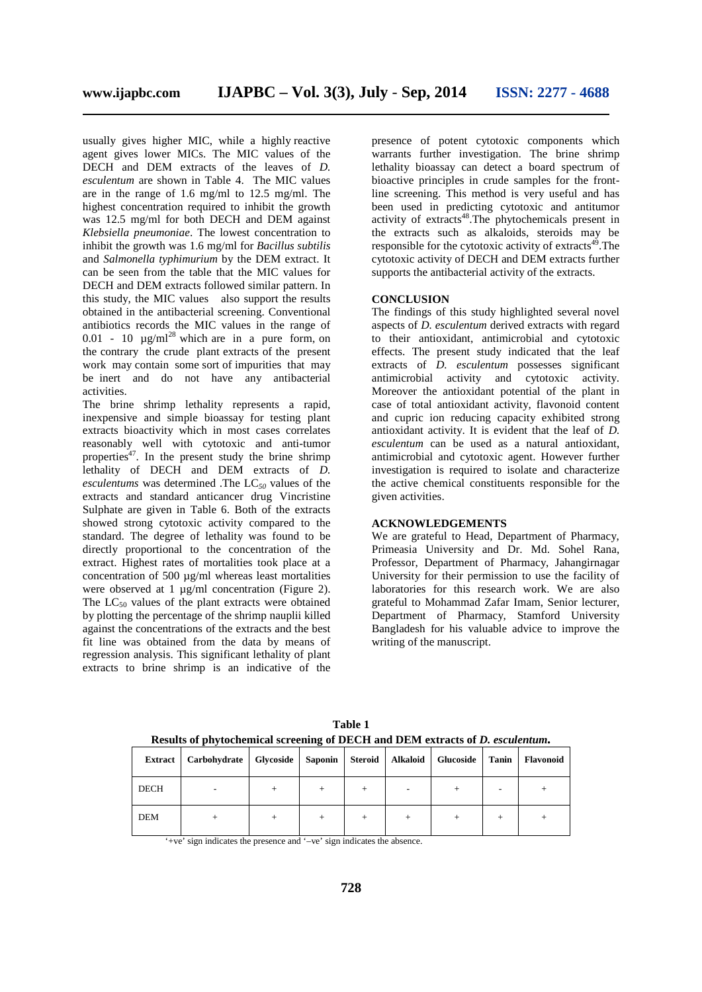usually gives higher MIC, while a highly reactive agent gives lower MICs. The MIC values of the DECH and DEM extracts of the leaves of *D. esculentum* are shown in Table 4. The MIC values are in the range of 1.6 mg/ml to 12.5 mg/ml. The highest concentration required to inhibit the growth was 12.5 mg/ml for both DECH and DEM against *Klebsiella pneumoniae*. The lowest concentration to inhibit the growth was 1.6 mg/ml for *Bacillus subtilis* and *Salmonella typhimurium* by the DEM extract. It can be seen from the table that the MIC values for DECH and DEM extracts followed similar pattern. In this study, the MIC values also support the results obtained in the antibacterial screening. Conventional antibiotics records the MIC values in the range of 0.01 - 10  $\mu$ g/ml<sup>28</sup> which are in a pure form, on the contrary the crude plant extracts of the present work may contain some sort of impurities that may be inert and do not have any antibacterial activities.

The brine shrimp lethality represents a rapid, inexpensive and simple bioassay for testing plant extracts bioactivity which in most cases correlates reasonably well with cytotoxic and anti-tumor properties<sup>47</sup>. In the present study the brine shrimp lethality of DECH and DEM extracts of *D. esculentums* was determined .The LC*<sup>50</sup>* values of the extracts and standard anticancer drug Vincristine Sulphate are given in Table 6. Both of the extracts showed strong cytotoxic activity compared to the standard. The degree of lethality was found to be directly proportional to the concentration of the extract. Highest rates of mortalities took place at a concentration of 500  $\mu$ g/ml whereas least mortalities were observed at 1  $\mu$ g/ml concentration (Figure 2). The  $LC_{50}$  values of the plant extracts were obtained by plotting the percentage of the shrimp nauplii killed against the concentrations of the extracts and the best fit line was obtained from the data by means of regression analysis. This significant lethality of plant extracts to brine shrimp is an indicative of the

presence of potent cytotoxic components which warrants further investigation. The brine shrimp lethality bioassay can detect a board spectrum of bioactive principles in crude samples for the frontline screening. This method is very useful and has been used in predicting cytotoxic and antitumor activity of extracts<sup>48</sup>.The phytochemicals present in the extracts such as alkaloids, steroids may be responsible for the cytotoxic activity of extracts<sup>49</sup>. The cytotoxic activity of DECH and DEM extracts further supports the antibacterial activity of the extracts.

#### **CONCLUSION**

The findings of this study highlighted several novel aspects of *D. esculentum* derived extracts with regard to their antioxidant, antimicrobial and cytotoxic effects. The present study indicated that the leaf extracts of *D. esculentum* possesses significant antimicrobial activity and cytotoxic activity. Moreover the antioxidant potential of the plant in case of total antioxidant activity, flavonoid content and cupric ion reducing capacity exhibited strong antioxidant activity. It is evident that the leaf of *D. esculentum* can be used as a natural antioxidant, antimicrobial and cytotoxic agent. However further investigation is required to isolate and characterize the active chemical constituents responsible for the given activities.

# **ACKNOWLEDGEMENTS**

We are grateful to Head, Department of Pharmacy, Primeasia University and Dr. Md. Sohel Rana, Professor, Department of Pharmacy, Jahangirnagar University for their permission to use the facility of laboratories for this research work. We are also grateful to Mohammad Zafar Imam, Senior lecturer, Department of Pharmacy, Stamford University Bangladesh for his valuable advice to improve the writing of the manuscript.

| Extract     | Carbohydrate | Glycoside | Saponin | Steroid | <b>Alkaloid</b> | Glucoside | Tanin | <b>Flavonoid</b> |
|-------------|--------------|-----------|---------|---------|-----------------|-----------|-------|------------------|
| <b>DECH</b> |              | $^+$      | $^+$    | $^{+}$  |                 |           |       |                  |
| <b>DEM</b>  |              | $^+$      | $^+$    |         |                 |           |       |                  |

**Table 1 Results of phytochemical screening of DECH and DEM extracts of** *D. esculentum.*

'+ve' sign indicates the presence and '–ve' sign indicates the absence.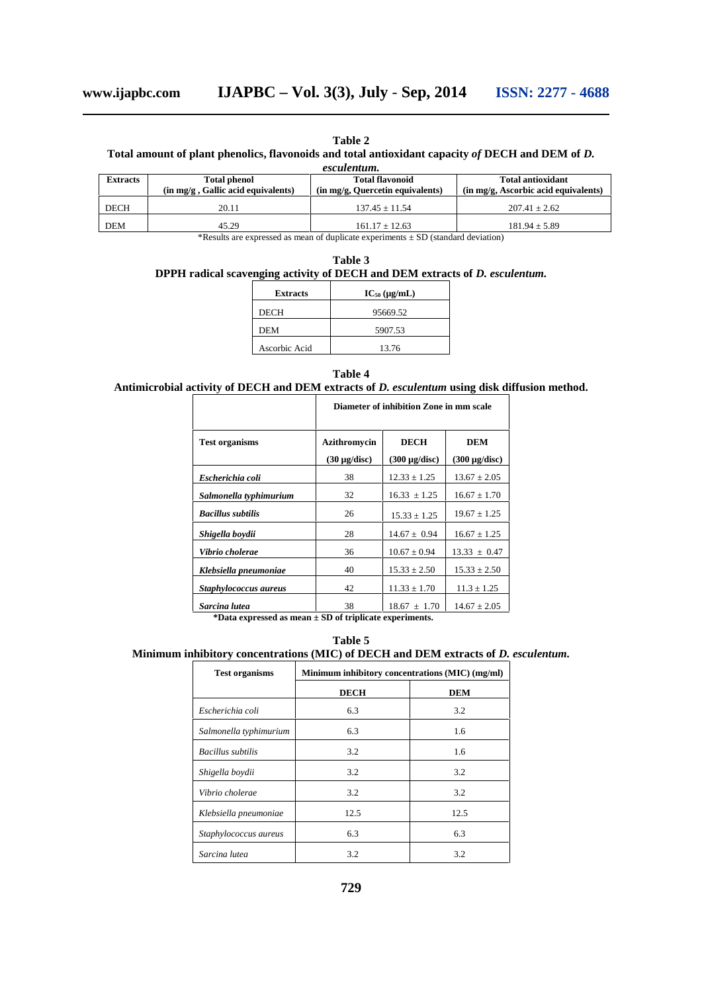**Table 2**

# **Total amount of plant phenolics, flavonoids and total antioxidant capacity** *of* **DECH and DEM of** *D.*

*esculentum.*

| <b>Extracts</b> | <b>Total phenol</b><br>$(in \, mg/g \, , Gallic \, acid \, equivalents)$ | <b>Total flavonoid</b><br>(in mg/g, Quercetin equivalents) | Total antioxidant<br>(in mg/g, Ascorbic acid equivalents) |  |
|-----------------|--------------------------------------------------------------------------|------------------------------------------------------------|-----------------------------------------------------------|--|
| <b>DECH</b>     | 20.11                                                                    | $137.45 \pm 11.54$                                         | $207.41 + 2.62$                                           |  |
| <b>DEM</b>      | 45.29                                                                    | $161.17 \pm 12.63$                                         | $181.94 \pm 5.89$                                         |  |

\*Results are expressed as mean of duplicate experiments ± SD (standard deviation)

| Table 3                                                                            |  |  |  |  |  |  |  |  |
|------------------------------------------------------------------------------------|--|--|--|--|--|--|--|--|
| DPPH radical scavenging activity of DECH and DEM extracts of <i>D. esculentum.</i> |  |  |  |  |  |  |  |  |
|                                                                                    |  |  |  |  |  |  |  |  |

| <b>Extracts</b> | $IC_{50} (\mu g/mL)$ |
|-----------------|----------------------|
| DECH            | 95669.52             |
| DEM             | 5907.53              |
| Ascorbic Acid   | 13.76                |

**Table 4 Antimicrobial activity of DECH and DEM extracts of** *D. esculentum* **using disk diffusion method.**

|                          | Diameter of inhibition Zone in mm scale |                    |                    |  |  |
|--------------------------|-----------------------------------------|--------------------|--------------------|--|--|
| <b>Test organisms</b>    | Azithromycin                            | <b>DECH</b>        | <b>DEM</b>         |  |  |
|                          | $(30 \mu g/disc)$                       | $(300 \mu g/disc)$ | $(300 \mu g/disc)$ |  |  |
| Escherichia coli         | 38                                      | $12.33 \pm 1.25$   | $13.67 \pm 2.05$   |  |  |
| Salmonella typhimurium   | 32                                      | $16.33 \pm 1.25$   | $16.67 \pm 1.70$   |  |  |
| <b>Bacillus subtilis</b> | 26                                      | $15.33 \pm 1.25$   | $19.67 \pm 1.25$   |  |  |
| Shigella boydii          | 28                                      | $14.67 \pm 0.94$   | $16.67 \pm 1.25$   |  |  |
| Vibrio cholerae          | 36                                      | $10.67 \pm 0.94$   | $13.33 \pm 0.47$   |  |  |
| Klebsiella pneumoniae    | 40                                      | $15.33 \pm 2.50$   | $15.33 \pm 2.50$   |  |  |
| Staphylococcus aureus    | 42                                      | $11.33 \pm 1.70$   | $11.3 \pm 1.25$    |  |  |
| Sarcina lutea            | 38                                      | $18.67 \pm 1.70$   | $14.67 + 2.05$     |  |  |

**\*Data expressed as mean ± SD of triplicate experiments.**

**Table 5**

# **Minimum inhibitory concentrations (MIC) of DECH and DEM extracts of** *D. esculentum.*

| <b>Test organisms</b>  | Minimum inhibitory concentrations (MIC) (mg/ml) |            |  |  |  |
|------------------------|-------------------------------------------------|------------|--|--|--|
|                        | <b>DECH</b>                                     | <b>DEM</b> |  |  |  |
| Escherichia coli       | 6.3                                             | 3.2        |  |  |  |
| Salmonella typhimurium | 6.3                                             | 1.6        |  |  |  |
| Bacillus subtilis      | 3.2                                             | 1.6        |  |  |  |
| Shigella boydii        | 3.2                                             | 3.2        |  |  |  |
| Vibrio cholerae        | 3.2                                             | 3.2        |  |  |  |
| Klebsiella pneumoniae  | 12.5                                            | 12.5       |  |  |  |
| Staphylococcus aureus  | 6.3                                             | 6.3        |  |  |  |
| Sarcina lutea          | 3.2                                             | 3.2        |  |  |  |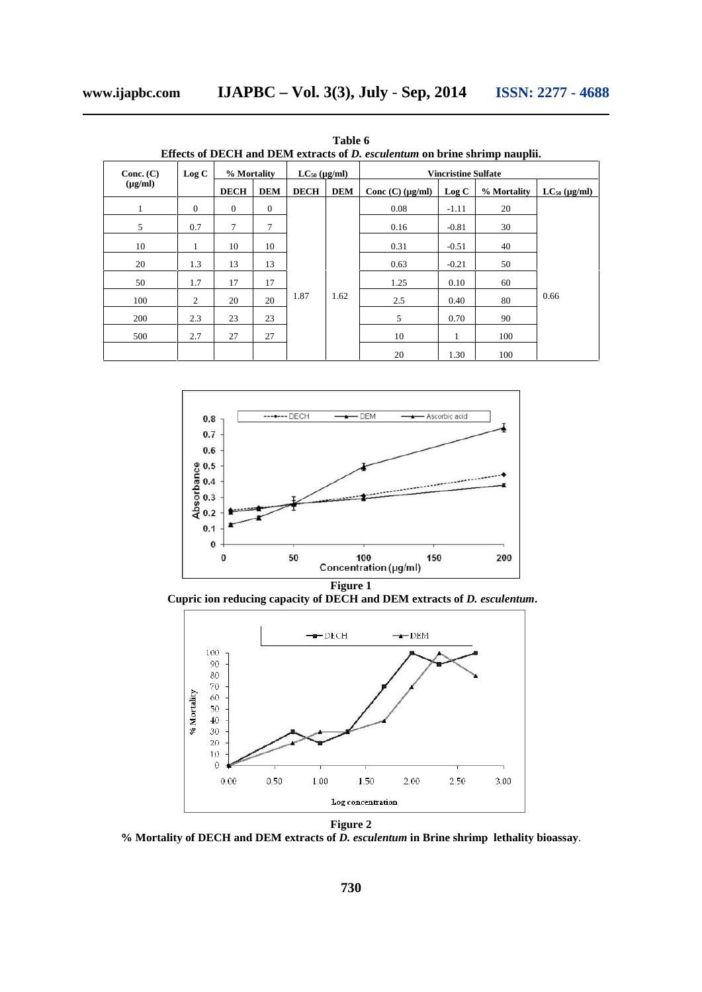**Table 6 Effects of DECH and DEM extracts of** *D. esculentum* **on brine shrimp nauplii.**

| Conc. $(C)$  | Log C        | % Mortality<br>$LC_{50}$ (µg/ml) |              |             |            | <b>Vincristine Sulfate</b> |         |             |                   |         |      |      |      |    |      |
|--------------|--------------|----------------------------------|--------------|-------------|------------|----------------------------|---------|-------------|-------------------|---------|------|------|------|----|------|
| $(\mu g/ml)$ |              | <b>DECH</b>                      | <b>DEM</b>   | <b>DECH</b> | <b>DEM</b> | Conc $(C)$ ( $\mu$ g/ml)   | Log C   | % Mortality | $LC_{50}$ (µg/ml) |         |      |      |      |    |      |
| $\mathbf{1}$ | $\mathbf{0}$ | $\mathbf{0}$                     | $\mathbf{0}$ | 1.87        | 1.62       | 0.08                       | $-1.11$ | 20          |                   |         |      |      |      |    |      |
| 5            | 0.7          | $\tau$                           | 7            |             |            |                            |         | 0.16        | $-0.81$           | 30      |      |      |      |    |      |
| 10           | $\mathbf{1}$ | 10                               | 10           |             |            |                            | 0.31    | $-0.51$     | 40                |         |      |      |      |    |      |
| 20           | 1.3          | 13                               | 13           |             |            |                            |         |             | 0.63              | $-0.21$ | 50   |      |      |    |      |
| 50           | 1.7          | 17                               | 17           |             |            |                            |         |             |                   |         | 1.25 | 0.10 | 60   |    |      |
| 100          | 2            | 20                               | 20           |             |            |                            |         |             |                   |         |      | 2.5  | 0.40 | 80 | 0.66 |
| 200          | 2.3          | 23                               | 23           |             |            |                            |         |             |                   |         | 5    | 0.70 | 90   |    |      |
| 500          | 2.7          | 27                               | 27           |             |            |                            | 10      | 1           | 100               |         |      |      |      |    |      |
|              |              |                                  |              |             |            |                            | 20      | 1.30        | 100               |         |      |      |      |    |      |



**Cupric ion reducing capacity of DECH and DEM extracts of** *D. esculentum***.**



**Figure 2**

**% Mortality of DECH and DEM extracts of** *D. esculentum* **in Brine shrimp lethality bioassay**.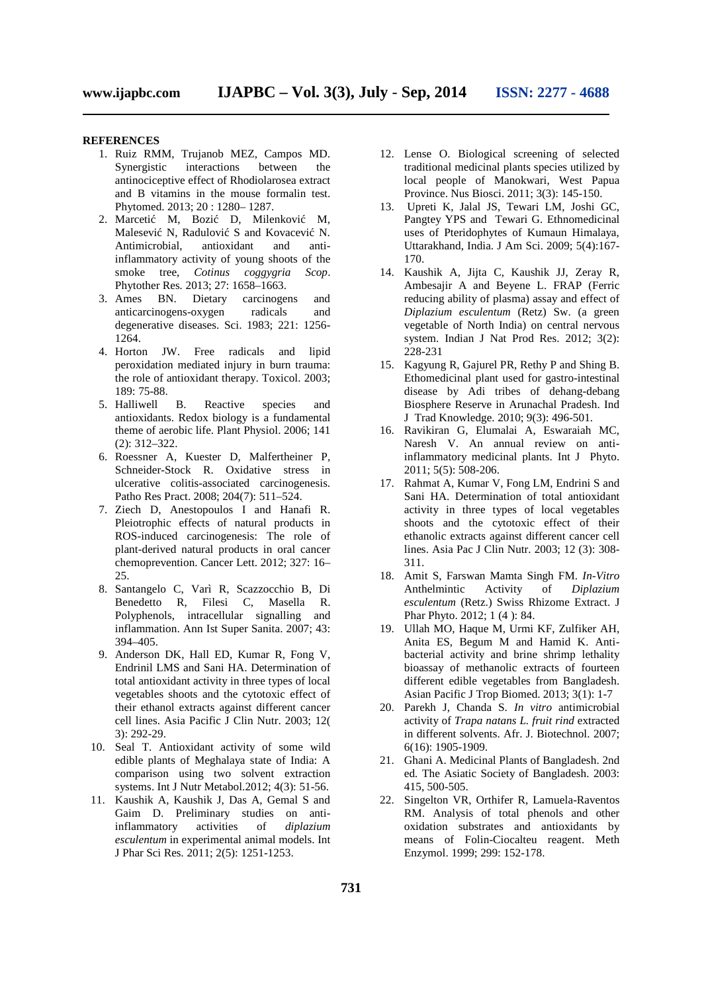#### **REFERENCES**

- 1. Ruiz RMM, Trujanob MEZ, Campos MD. Synergistic interactions between the antinociceptive effect of Rhodiolarosea extract and B vitamins in the mouse formalin test. Phytomed. 2013; 20 : 1280-1287.<br>2. Marceti M, Bozi D, Mile
- M, Bozi D, Milenkovi M, Malesevi N, Radulovi S and Kovacevi N.<br>Antimicrobial, antioxidant and anti-Antimicrobial, antioxidant and inflammatory activity of young shoots of the smoke tree, *Cotinus coggygria Scop*. Phytother Res*.* 2013; 27: 1658–1663.
- 3. Ames BN. Dietary carcinogens and anticarcinogens-oxygen radicals and degenerative diseases. Sci. 1983; 221: 1256- 1264.
- 4. Horton JW. Free radicals and lipid peroxidation mediated injury in burn trauma: the role of antioxidant therapy. Toxicol. 2003; 189: 75-88.
- 5. Halliwell B. Reactive species and antioxidants. Redox biology is a fundamental theme of aerobic life. Plant Physiol. 2006; 141 (2): 312–322.
- 6. Roessner A, Kuester D, Malfertheiner P, Schneider-Stock R. Oxidative stress in ulcerative colitis-associated carcinogenesis. Patho Res Pract. 2008; 204(7): 511–524.
- 7. Ziech D, Anestopoulos I and Hanafi R. Pleiotrophic effects of natural products in ROS-induced carcinogenesis: The role of plant-derived natural products in oral cancer chemoprevention. Cancer Lett. 2012; 327: 16– 25.
- 8. Santangelo C, Varì R, Scazzocchio B, Di Benedetto R, Filesi C, Masella R. Polyphenols, intracellular signalling and inflammation. Ann Ist Super Sanita. 2007; 43: 394–405.
- 9. Anderson DK, Hall ED, Kumar R, Fong V, Endrinil LMS and Sani HA. Determination of total antioxidant activity in three types of local vegetables shoots and the cytotoxic effect of their ethanol extracts against different cancer cell lines. Asia Pacific J Clin Nutr. 2003; 12( 3): 292-29.
- 10. Seal T. Antioxidant activity of some wild edible plants of Meghalaya state of India: A comparison using two solvent extraction systems. Int J Nutr Metabol.2012; 4(3): 51-56.
- 11. Kaushik A, Kaushik J, Das A, Gemal S and Gaim D. Preliminary studies on antiinflammatory activities of *diplazium esculentum* in experimental animal models. Int J Phar Sci Res*.* 2011; 2(5): 1251-1253.
- 12. Lense O. Biological screening of selected traditional medicinal plants species utilized by local people of Manokwari, West Papua Province. Nus Biosci. 2011; 3(3): 145-150.
- 13. Upreti K, Jalal JS, Tewari LM, Joshi GC, Pangtey YPS and Tewari G. Ethnomedicinal uses of Pteridophytes of Kumaun Himalaya, Uttarakhand, India. J Am Sci. 2009; 5(4):167- 170.
- 14. Kaushik A, Jijta C, Kaushik JJ, Zeray R, Ambesajir A and Beyene L. FRAP (Ferric reducing ability of plasma) assay and effect of *Diplazium esculentum* (Retz) Sw. (a green vegetable of North India) on central nervous system. Indian J Nat Prod Res. 2012; 3(2): 228-231
- 15. Kagyung R, Gajurel PR, Rethy P and Shing B. Ethomedicinal plant used for gastro-intestinal disease by Adi tribes of dehang-debang Biosphere Reserve in Arunachal Pradesh. Ind J Trad Knowledge. 2010; 9(3): 496-501.
- 16. Ravikiran G, Elumalai A, Eswaraiah MC, Naresh V. An annual review on antiinflammatory medicinal plants. Int J Phyto. 2011; 5(5): 508-206.
- 17. Rahmat A, Kumar V, Fong LM, Endrini S and Sani HA. Determination of total antioxidant activity in three types of local vegetables shoots and the cytotoxic effect of their ethanolic extracts against different cancer cell lines. Asia Pac J Clin Nutr. 2003; 12 (3): 308- 311.
- 18. Amit S, Farswan Mamta Singh FM. *In-Vitro* Anthelmintic Activity of *Diplazium esculentum* (Retz.) Swiss Rhizome Extract. J Phar Phyto. 2012; 1 (4 ): 84.
- 19. Ullah MO, Haque M, Urmi KF, Zulfiker AH, Anita ES, Begum M and Hamid K. Anti bacterial activity and brine shrimp lethality bioassay of methanolic extracts of fourteen different edible vegetables from Bangladesh. Asian Pacific J Trop Biomed. 2013; 3(1): 1-7
- 20. Parekh J, Chanda S. *In vitro* antimicrobial activity of *Trapa natans L. fruit rind* extracted in different solvents. Afr. J. Biotechnol. 2007; 6(16): 1905-1909.
- 21. Ghani A. Medicinal Plants of Bangladesh. 2nd ed*.* The Asiatic Society of Bangladesh. 2003: 415, 500-505.
- 22. Singelton VR, Orthifer R, Lamuela-Raventos RM. Analysis of total phenols and other oxidation substrates and antioxidants by means of Folin-Ciocalteu reagent. Meth Enzymol. 1999; 299: 152-178.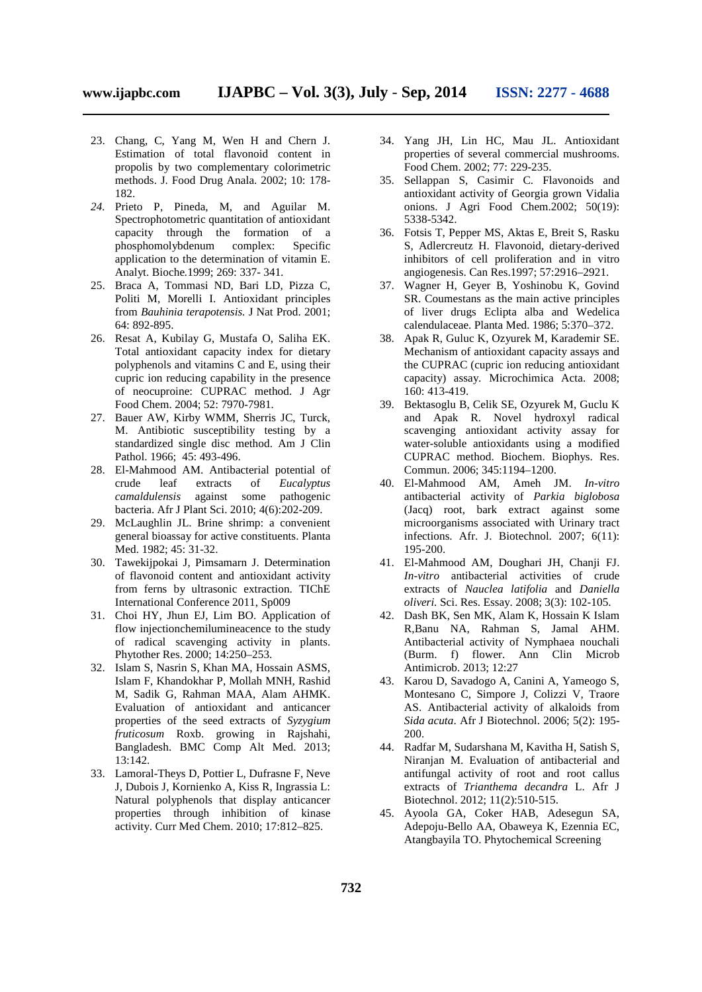- 23. Chang, C, Yang M, Wen H and Chern J. Estimation of total flavonoid content in propolis by two complementary colorimetric methods. J. Food Drug Anala. 2002; 10: 178- 182.
- *24.* Prieto P, Pineda, M, and Aguilar M. Spectrophotometric quantitation of antioxidant capacity through the formation of a phosphomolybdenum complex: Specific application to the determination of vitamin E. Analyt. Bioche*.*1999; 269: 337- 341*.*
- 25. Braca A, Tommasi ND, Bari LD, Pizza C, Politi M, Morelli I. Antioxidant principles from *Bauhinia terapotensis.* J Nat Prod. 2001; 64: 892-895.
- 26. Resat A, Kubilay G, Mustafa O, Saliha EK. Total antioxidant capacity index for dietary polyphenols and vitamins C and E, using their cupric ion reducing capability in the presence of neocuproine: CUPRAC method. J Agr Food Chem. 2004; 52: 7970-7981.
- 27. Bauer AW, Kirby WMM, Sherris JC, Turck, M. Antibiotic susceptibility testing by a standardized single disc method. Am J Clin Pathol. 1966; 45: 493-496.
- 28. El-Mahmood AM. Antibacterial potential of crude leaf extracts of *Eucalyptus camaldulensis* against some pathogenic bacteria. Afr J Plant Sci. 2010; 4(6):202-209.
- 29. McLaughlin JL. Brine shrimp: a convenient general bioassay for active constituents. Planta Med. 1982; 45: 31-32.
- 30. Tawekijpokai J, Pimsamarn J. Determination of flavonoid content and antioxidant activity from ferns by ultrasonic extraction. TIChE International Conference 2011, Sp009
- 31. Choi HY, Jhun EJ, Lim BO. Application of flow injectionchemilumineacence to the study of radical scavenging activity in plants. Phytother Res. 2000; 14:250–253.
- 32. Islam S, Nasrin S, Khan MA, Hossain ASMS, Islam F, Khandokhar P, Mollah MNH, Rashid M, Sadik G, Rahman MAA, Alam AHMK. Evaluation of antioxidant and anticancer properties of the seed extracts of *Syzygium fruticosum* Roxb. growing in Rajshahi, Bangladesh. BMC Comp Alt Med. 2013; 13:142.
- 33. Lamoral-Theys D, Pottier L, Dufrasne F, Neve J, Dubois J, Kornienko A, Kiss R, Ingrassia L: Natural polyphenols that display anticancer properties through inhibition of kinase activity. Curr Med Chem. 2010; 17:812–825.
- 34. Yang JH, Lin HC, Mau JL. Antioxidant properties of several commercial mushrooms. Food Chem. 2002; 77: 229-235.
- 35. Sellappan S, Casimir C. Flavonoids and antioxidant activity of Georgia grown Vidalia onions. J Agri Food Chem.2002; 50(19): 5338-5342.
- 36. Fotsis T, Pepper MS, Aktas E, Breit S, Rasku S, Adlercreutz H. Flavonoid, dietary-derived inhibitors of cell proliferation and in vitro angiogenesis. Can Res.1997; 57:2916–2921.
- 37. Wagner H, Geyer B, Yoshinobu K, Govind SR. Coumestans as the main active principles of liver drugs Eclipta alba and Wedelica calendulaceae. Planta Med. 1986; 5:370–372.
- 38. Apak R, Guluc K, Ozyurek M, Karademir SE. Mechanism of antioxidant capacity assays and the CUPRAC (cupric ion reducing antioxidant capacity) assay. Microchimica Acta. 2008; 160: 413-419.
- 39. Bektasoglu B, Celik SE, Ozyurek M, Guclu K and Apak R. Novel hydroxyl radical scavenging antioxidant activity assay for water-soluble antioxidants using a modified CUPRAC method. Biochem. Biophys. Res. Commun. 2006; 345:1194–1200.
- 40. El-Mahmood AM, Ameh JM. *In-vitro* antibacterial activity of *Parkia biglobosa* (Jacq) root, bark extract against some microorganisms associated with Urinary tract infections. Afr. J. Biotechnol*.* 2007; 6(11): 195-200.
- 41. El-Mahmood AM, Doughari JH, Chanji FJ. *In-vitro* antibacterial activities of crude extracts of *Nauclea latifolia* and *Daniella oliveri.* Sci. Res. Essay. 2008; 3(3): 102-105.
- 42. Dash BK, Sen MK, Alam K, Hossain K Islam R,Banu NA, Rahman S, Jamal AHM. Antibacterial activity of Nymphaea nouchali (Burm. f) flower. Ann Clin Microb Antimicrob. 2013; 12:27
- 43. Karou D, Savadogo A, Canini A, Yameogo S, Montesano C, Simpore J, Colizzi V, Traore AS. Antibacterial activity of alkaloids from *Sida acuta*. Afr J Biotechnol. 2006; 5(2): 195- 200.
- 44. Radfar M, Sudarshana M, Kavitha H, Satish S, Niranjan M. Evaluation of antibacterial and antifungal activity of root and root callus extracts of *Trianthema decandra* L. Afr J Biotechnol. 2012; 11(2):510-515.
- 45. Ayoola GA, Coker HAB, Adesegun SA, Adepoju-Bello AA, Obaweya K, Ezennia EC, Atangbayila TO. Phytochemical Screening